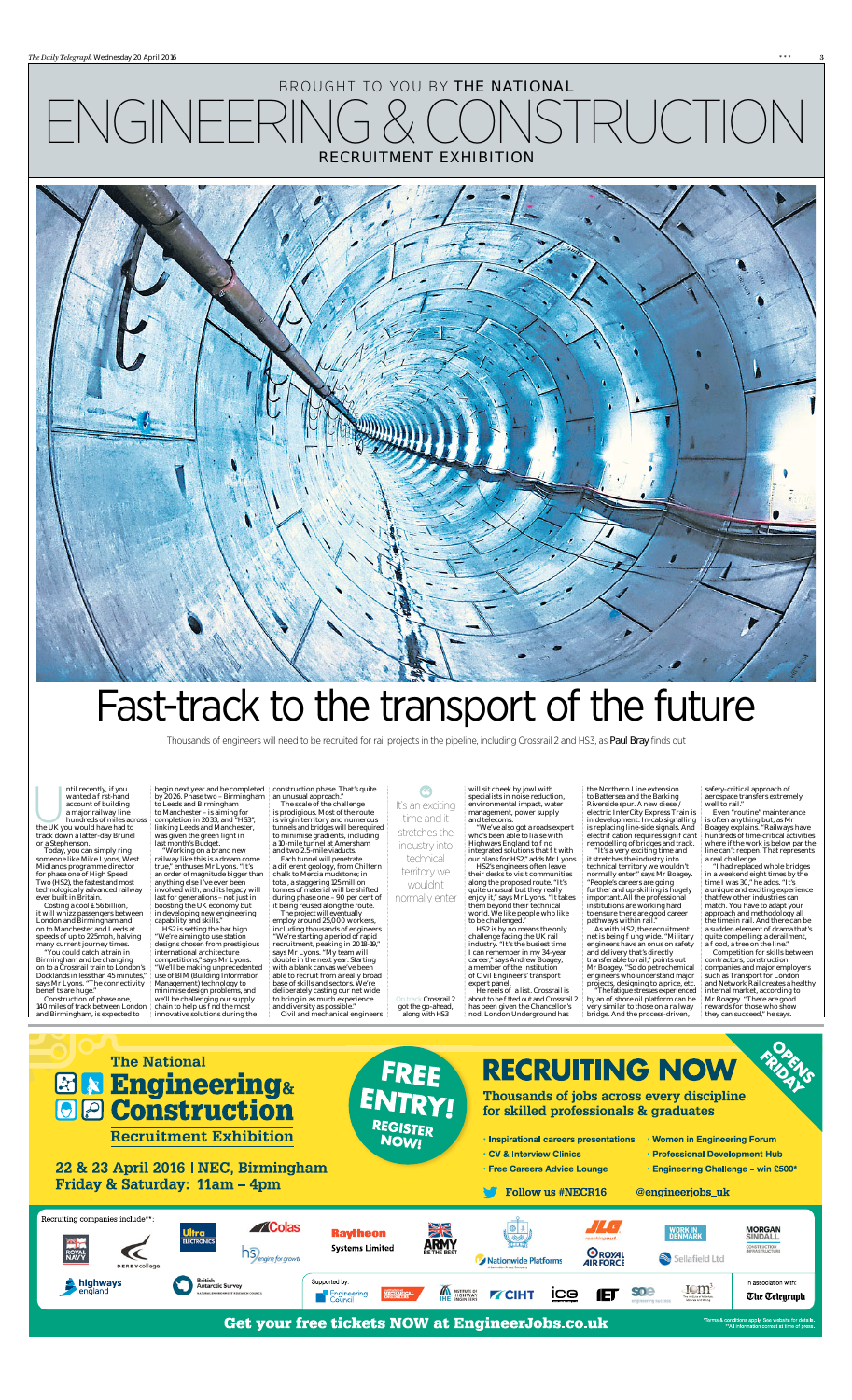will sit cheek by jowl with specialists in noise reduction, environmental impact, water management, power supply and telecoms. "We've also got a roads expert

who's been able to liaise with Highways England to nd integrated solutions that twith our plans for HS2," adds Mr Lyons.

HS2's engineers often leave their desks to visit communities along the proposed route. "It's quite unusual but they really enjoy it," says Mr Lyons. "It takes them beyond their technical world. We like people who like to be challenged."

He reels o a list. Crossrail is about to be tted out and Crossrail 2 has been given the Chancellor's nod. London Underground has

"It's a very exciting time and it stretches the industry into technical territory we wouldn't normally enter," says Mr Boagey. "People's careers are going further and up-skilling is hugely important. All the professional institutions are working hard to ensure there are good career pathways within rail."

HS2 is by no means the only challenge facing the UK rail industry. "It's the busiest time I can remember in my 34-year career," says Andrew Boagey, a member of the Institution of Civil Engineers' transport expert panel.

the Northern Line extension to Battersea and the Barking Riverside spur. A new diesel/ electric InterCity Express Train is in development. In-cab signalling is replacing line-side signals. And electri cation requires signi cant remodelling of bridges and track.

> "I had replaced whole bridges in a weekend eight times by the time I was 30," he adds. "It's a unique and exciting experience that few other industries can match. You have to adapt your approach and methodology all the time in rail. And there can be a sudden element of drama that's quite compelling: a derailment, ood, a tree on the line."

ntil recently, if you<br>
wanted a rst-hand<br>
account of building<br>
a major railway line<br>
hundreds of miles act<br>
the UK you would have had to wanted a rst-hand account of building a major railway line hundreds of miles across track down a latter-day Brunel or a Stephenson.

> As with HS2, the recruitment net is being ung wide. "Military engineers have an onus on safety and delivery that's directly transferable to rail," points out Mr Boagey. "So do petrochemical engineers who understand major projects, designing to a price, etc. "The fatigue stresses experienced

by an o shore oil platform can be very similar to those on a railway bridge. And the process-driven,

"You could catch a train in Birmingham and be changing on to a Crossrail train to London's Docklands in less than 45 minutes," says Mr Lyons. "The connectivity bene ts are huge."

safety-critical approach of aerospace transfers extremely well to rail."

Even "routine" maintenance is often anything but, as Mr Boagey explains. "Railways have hundreds of time-critical activities where if the work is below par the line can't reopen. That represents a real challenge.

and two 2.5-mile viaducts. Each tunnel will penetrate a dieferent geology, from Chiltern chalk to Mercia mudstone; in total, a staggering 125 million tonnes of material will be shifted during phase one – 90 per cent of it being reused along the route. The project will eventually

> Competition for skills between contractors, construction companies and major employers such as Transport for London and Network Rail creates a healthy internal market, according to Mr Boagey. "There are good rewards for those who show they can succeed," he says.



On track Crossrail 2 got the go-ahead, along with HS3

Today, you can simply ring someone like Mike Lyons, West Midlands programme director for phase one of High Speed Two (HS2), the fastest and most technologically advanced railway ever built in Britain.

Costing a cool £56 billion, it will whizz passengers between London and Birmingham and on to Manchester and Leeds at speeds of up to 225mph, halving many current journey times.

Construction of phase one, 140 miles of track between London and Birmingham, is expected to

by 2026. Phase two – Birmingham to Leeds and Birmingham to Manchester – is aiming for completion in 2033, and "HS3", linking Leeds and Manchester, was given the green light in last month's Budget.

"Working on a brand new railway like this is a dream come true," enthuses Mr Lyons. "It's an order of magnitude bigger than anything else I've ever been involved with, and its legacy will last for generations – not just in boosting the UK economy but in developing new engineering capability and skills."

begin next year and be completed construction phase. That's quite an unusual approach."

HS2 is setting the bar high. "We're aiming to use station designs chosen from prestigious international architecture competitions," says Mr Lyons. "We'll be making unprecedented use of BIM (Building Information Management) technology to

minimise design problems, and we'll be challenging our supply chain to help us nd the most innovative solutions during the

The scale of the challenge is prodigious. Most of the route is virgin territory and numerous tunnels and bridges will be required to minimise gradients, including a 10-mile tunnel at Amersham

employ around 25,000 workers, including thousands of engineers. "We're starting a period of rapid recruitment, peaking in 2018-19," says Mr Lyons. "My team will double in the next year. Starting with a blank canvas we've been able to recruit from a really broad base of skills and sectors. We're deliberately casting our net wide to bring in as much experience

and diversity as possible." Civil and mechanical engineers

## Fast-track to the transport of the future

66

It's an exciting time and it stretches the industry into technical

territory we wouldn't normally enter